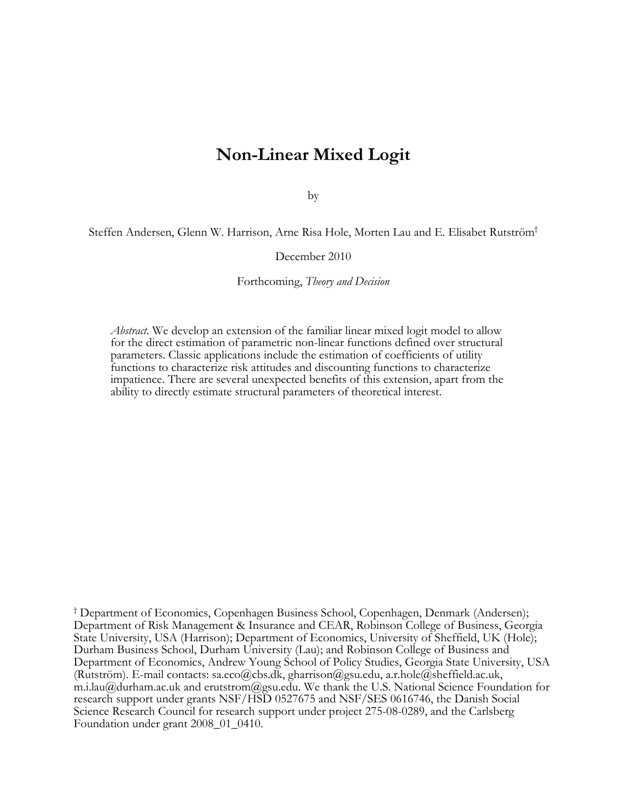# **Non-Linear Mixed Logit**

by

Steffen Andersen, Glenn W. Harrison, Arne Risa Hole, Morten Lau and E. Elisabet Rutström†

December 2010

Forthcoming, *Theory and Decision*

*Abstract*. We develop an extension of the familiar linear mixed logit model to allow for the direct estimation of parametric non-linear functions defined over structural parameters. Classic applications include the estimation of coefficients of utility functions to characterize risk attitudes and discounting functions to characterize impatience. There are several unexpected benefits of this extension, apart from the ability to directly estimate structural parameters of theoretical interest.

† Department of Economics, Copenhagen Business School, Copenhagen, Denmark (Andersen); Department of Risk Management & Insurance and CEAR, Robinson College of Business, Georgia State University, USA (Harrison); Department of Economics, University of Sheffield, UK (Hole); Durham Business School, Durham University (Lau); and Robinson College of Business and Department of Economics, Andrew Young School of Policy Studies, Georgia State University, USA (Rutström). E-mail contacts: sa.eco@cbs.dk, gharrison@gsu.edu, a.r.hole@sheffield.ac.uk, m.i.lau@durham.ac.uk and erutstrom@gsu.edu. We thank the U.S. National Science Foundation for research support under grants NSF/HSD 0527675 and NSF/SES 0616746, the Danish Social Science Research Council for research support under project 275-08-0289, and the Carlsberg Foundation under grant 2008\_01\_0410.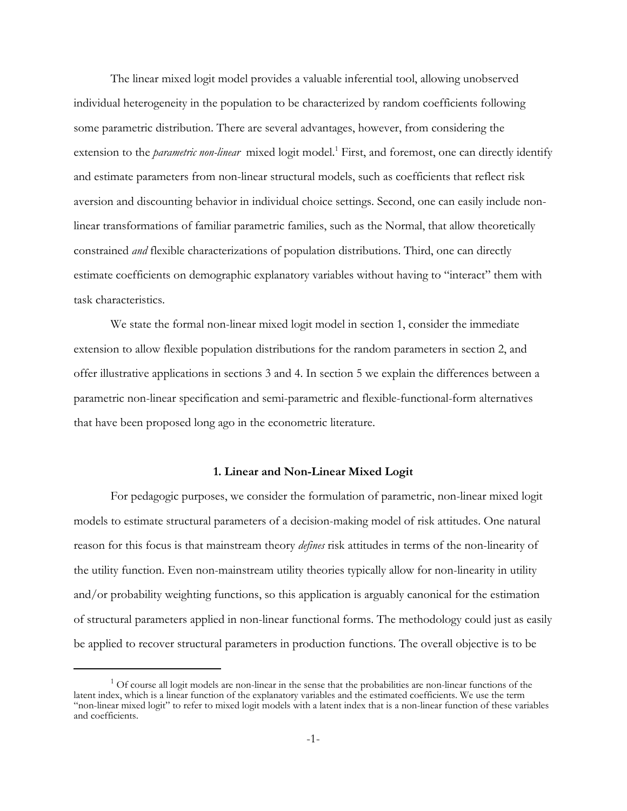The linear mixed logit model provides a valuable inferential tool, allowing unobserved individual heterogeneity in the population to be characterized by random coefficients following some parametric distribution. There are several advantages, however, from considering the extension to the *parametric non-linear* mixed logit model.<sup>1</sup> First, and foremost, one can directly identify and estimate parameters from non-linear structural models, such as coefficients that reflect risk aversion and discounting behavior in individual choice settings. Second, one can easily include nonlinear transformations of familiar parametric families, such as the Normal, that allow theoretically constrained *and* flexible characterizations of population distributions. Third, one can directly estimate coefficients on demographic explanatory variables without having to "interact" them with task characteristics.

We state the formal non-linear mixed logit model in section 1, consider the immediate extension to allow flexible population distributions for the random parameters in section 2, and offer illustrative applications in sections 3 and 4. In section 5 we explain the differences between a parametric non-linear specification and semi-parametric and flexible-functional-form alternatives that have been proposed long ago in the econometric literature.

# **1. Linear and Non-Linear Mixed Logit**

For pedagogic purposes, we consider the formulation of parametric, non-linear mixed logit models to estimate structural parameters of a decision-making model of risk attitudes. One natural reason for this focus is that mainstream theory *defines* risk attitudes in terms of the non-linearity of the utility function. Even non-mainstream utility theories typically allow for non-linearity in utility and/or probability weighting functions, so this application is arguably canonical for the estimation of structural parameters applied in non-linear functional forms. The methodology could just as easily be applied to recover structural parameters in production functions. The overall objective is to be

 $1$  Of course all logit models are non-linear in the sense that the probabilities are non-linear functions of the latent index, which is a linear function of the explanatory variables and the estimated coefficients. We use the term "non-linear mixed logit" to refer to mixed logit models with a latent index that is a non-linear function of these variables and coefficients.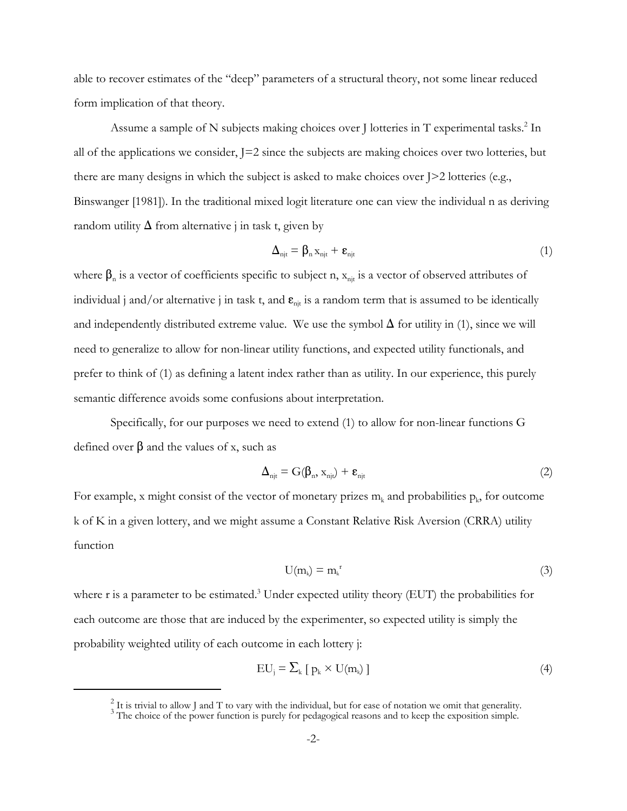able to recover estimates of the "deep" parameters of a structural theory, not some linear reduced form implication of that theory.

Assume a sample of N subjects making choices over J lotteries in T experimental tasks.<sup>2</sup> In all of the applications we consider, J=2 since the subjects are making choices over two lotteries, but there are many designs in which the subject is asked to make choices over J>2 lotteries (e.g., Binswanger [1981]). In the traditional mixed logit literature one can view the individual n as deriving random utility  $\Delta$  from alternative j in task t, given by

$$
\Delta_{\rm njt} = \beta_{\rm n} \, \mathbf{x}_{\rm njt} + \boldsymbol{\varepsilon}_{\rm njt} \tag{1}
$$

where  $\beta_n$  is a vector of coefficients specific to subject n,  $x_{nif}$  is a vector of observed attributes of individual j and/or alternative j in task t, and  $\epsilon_{\rm nit}$  is a random term that is assumed to be identically and independently distributed extreme value. We use the symbol  $\Delta$  for utility in (1), since we will need to generalize to allow for non-linear utility functions, and expected utility functionals, and prefer to think of (1) as defining a latent index rather than as utility. In our experience, this purely semantic difference avoids some confusions about interpretation.

Specifically, for our purposes we need to extend (1) to allow for non-linear functions G defined over  $\beta$  and the values of x, such as

$$
\Delta_{\rm njt} = G(\beta_{\rm n}, x_{\rm njt}) + \varepsilon_{\rm njt} \tag{2}
$$

For example, x might consist of the vector of monetary prizes  $m_k$  and probabilities  $p_k$ , for outcome k of K in a given lottery, and we might assume a Constant Relative Risk Aversion (CRRA) utility function

$$
U(m_k) = m_k^{\ r}
$$
 (3)

where r is a parameter to be estimated.<sup>3</sup> Under expected utility theory (EUT) the probabilities for each outcome are those that are induced by the experimenter, so expected utility is simply the probability weighted utility of each outcome in each lottery j:

$$
EU_j = \sum_{k} [p_k \times U(m_k)] \tag{4}
$$

 $2^2$  It is trivial to allow J and T to vary with the individual, but for ease of notation we omit that generality.<br><sup>3</sup> The choice of the power function is purely for pedagogical reasons and to keep the exposition simple.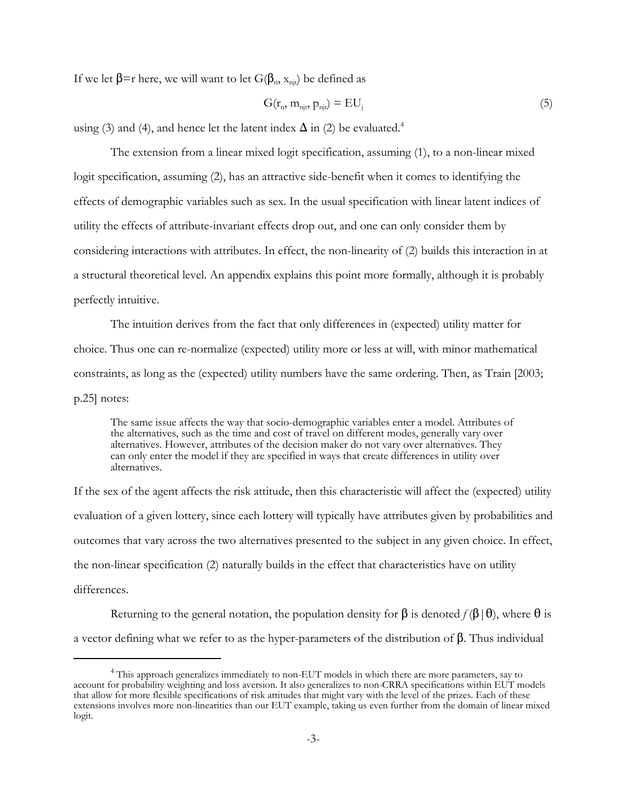If we let  $\beta$ =r here, we will want to let  $G(\beta_0, x_{\text{init}})$  be defined as

$$
G(\mathbf{r}_{\rm n}, \mathbf{m}_{\rm njt}, \mathbf{p}_{\rm njt}) = \mathbf{E} \mathbf{U}_{\rm j} \tag{5}
$$

using (3) and (4), and hence let the latent index  $\Delta$  in (2) be evaluated.<sup>4</sup>

The extension from a linear mixed logit specification, assuming (1), to a non-linear mixed logit specification, assuming (2), has an attractive side-benefit when it comes to identifying the effects of demographic variables such as sex. In the usual specification with linear latent indices of utility the effects of attribute-invariant effects drop out, and one can only consider them by considering interactions with attributes. In effect, the non-linearity of (2) builds this interaction in at a structural theoretical level. An appendix explains this point more formally, although it is probably perfectly intuitive.

The intuition derives from the fact that only differences in (expected) utility matter for choice. Thus one can re-normalize (expected) utility more or less at will, with minor mathematical constraints, as long as the (expected) utility numbers have the same ordering. Then, as Train [2003; p.25] notes:

The same issue affects the way that socio-demographic variables enter a model. Attributes of the alternatives, such as the time and cost of travel on different modes, generally vary over alternatives. However, attributes of the decision maker do not vary over alternatives. They can only enter the model if they are specified in ways that create differences in utility over alternatives.

If the sex of the agent affects the risk attitude, then this characteristic will affect the (expected) utility evaluation of a given lottery, since each lottery will typically have attributes given by probabilities and outcomes that vary across the two alternatives presented to the subject in any given choice. In effect, the non-linear specification (2) naturally builds in the effect that characteristics have on utility differences.

Returning to the general notation, the population density for  $\beta$  is denoted  $f(\beta | \theta)$ , where  $\theta$  is a vector defining what we refer to as the hyper-parameters of the distribution of  $\beta$ . Thus individual

<sup>&</sup>lt;sup>4</sup> This approach generalizes immediately to non-EUT models in which there are more parameters, say to account for probability weighting and loss aversion. It also generalizes to non-CRRA specifications within EUT models that allow for more flexible specifications of risk attitudes that might vary with the level of the prizes. Each of these extensions involves more non-linearities than our EUT example, taking us even further from the domain of linear mixed logit.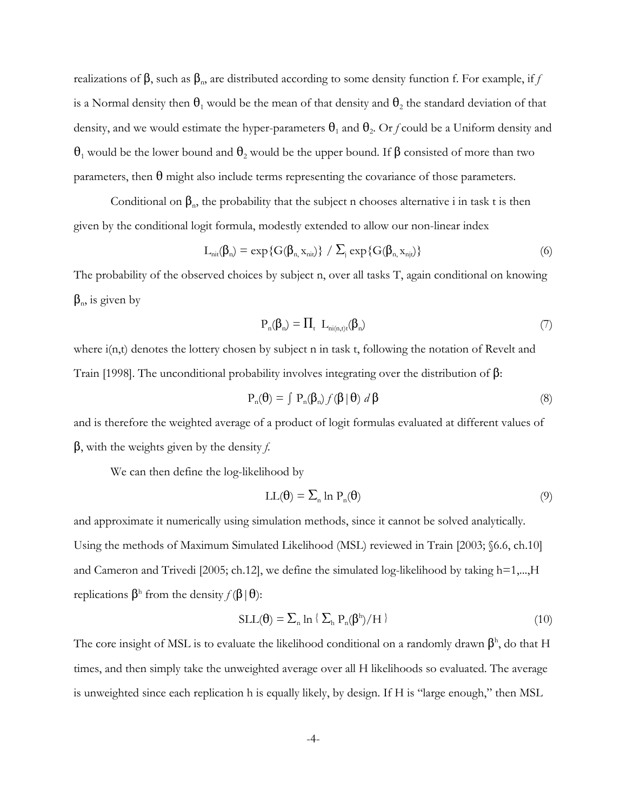realizations of  $\beta$ , such as  $\beta_n$ , are distributed according to some density function f. For example, if *f* is a Normal density then  $\theta_1$  would be the mean of that density and  $\theta_2$  the standard deviation of that density, and we would estimate the hyper-parameters  $\theta_1$  and  $\theta_2$ . Or *f* could be a Uniform density and  $\theta_1$  would be the lower bound and  $\theta_2$  would be the upper bound. If  $\beta$  consisted of more than two parameters, then  $\theta$  might also include terms representing the covariance of those parameters.

Conditional on  $\beta_n$ , the probability that the subject n chooses alternative i in task t is then given by the conditional logit formula, modestly extended to allow our non-linear index

$$
L_{\text{nit}}(\beta_n) = \exp\{G(\beta_n, x_{\text{nit}})\} / \sum_{j} \exp\{G(\beta_n, x_{\text{ni}})\}\
$$
 (6)

The probability of the observed choices by subject n, over all tasks T, again conditional on knowing  $\beta_{n}$ , is given by

$$
P_n(\beta_n) = \Pi_t \ L_{ni(n,t)t}(\beta_n) \tag{7}
$$

where  $i(n,t)$  denotes the lottery chosen by subject n in task t, following the notation of Revelt and Train [1998]. The unconditional probability involves integrating over the distribution of  $\beta$ :

$$
P_n(\boldsymbol{\theta}) = \int P_n(\boldsymbol{\beta}_n) f(\boldsymbol{\beta} \mid \boldsymbol{\theta}) \ d\boldsymbol{\beta}
$$
\n(8)

and is therefore the weighted average of a product of logit formulas evaluated at different values of  $\beta$ , with the weights given by the density *f*.

We can then define the log-likelihood by

$$
LL(\theta) = \sum_{n} \ln P_n(\theta) \tag{9}
$$

and approximate it numerically using simulation methods, since it cannot be solved analytically. Using the methods of Maximum Simulated Likelihood (MSL) reviewed in Train [2003; §6.6, ch.10] and Cameron and Trivedi [2005; ch.12], we define the simulated log-likelihood by taking  $h=1,...,H$ replications  $\beta$ <sup>h</sup> from the density  $f(\beta | \theta)$ :

$$
SLL(\mathbf{\Theta}) = \sum_{n} \ln \left\{ \sum_{h} P_{n}(\mathbf{\beta}^{h}) / H \right\}
$$
\n(10)

The core insight of MSL is to evaluate the likelihood conditional on a randomly drawn  $\beta^{\text{h}}$ , do that H times, and then simply take the unweighted average over all H likelihoods so evaluated. The average is unweighted since each replication h is equally likely, by design. If H is "large enough," then MSL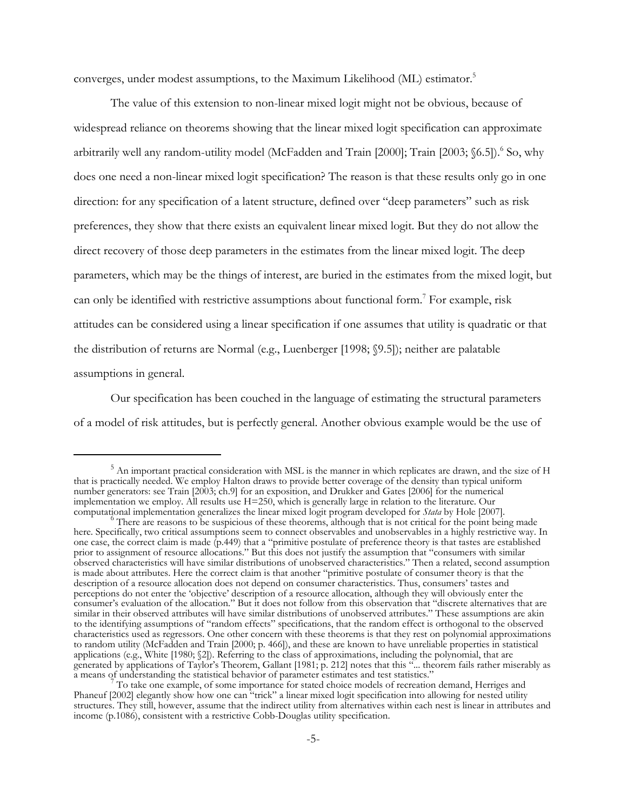converges, under modest assumptions, to the Maximum Likelihood (ML) estimator.<sup>5</sup>

The value of this extension to non-linear mixed logit might not be obvious, because of widespread reliance on theorems showing that the linear mixed logit specification can approximate arbitrarily well any random-utility model (McFadden and Train [2000]; Train [2003; §6.5]).<sup>6</sup> So, why does one need a non-linear mixed logit specification? The reason is that these results only go in one direction: for any specification of a latent structure, defined over "deep parameters" such as risk preferences, they show that there exists an equivalent linear mixed logit. But they do not allow the direct recovery of those deep parameters in the estimates from the linear mixed logit. The deep parameters, which may be the things of interest, are buried in the estimates from the mixed logit, but can only be identified with restrictive assumptions about functional form.<sup>7</sup> For example, risk attitudes can be considered using a linear specification if one assumes that utility is quadratic or that the distribution of returns are Normal (e.g., Luenberger [1998; §9.5]); neither are palatable assumptions in general.

Our specification has been couched in the language of estimating the structural parameters of a model of risk attitudes, but is perfectly general. Another obvious example would be the use of

<sup>&</sup>lt;sup>5</sup> An important practical consideration with MSL is the manner in which replicates are drawn, and the size of H that is practically needed. We employ Halton draws to provide better coverage of the density than typical uniform number generators: see Train [2003; ch.9] for an exposition, and Drukker and Gates [2006] for the numerical implementation we employ. All results use H=250, which is generally large in relation to the literature. Our computational implementation generalizes the linear mixed logit program developed for *Stata* by Hole [2007].

<sup>&</sup>lt;sup>6</sup> There are reasons to be suspicious of these theorems, although that is not critical for the point being made here. Specifically, two critical assumptions seem to connect observables and unobservables in a highly restrictive way. In one case, the correct claim is made  $(p.449)$  that a "primitive postulate of preference theory is that tastes are established prior to assignment of resource allocations." But this does not justify the assumption that "consumers with similar observed characteristics will have similar distributions of unobserved characteristics." Then a related, second assumption is made about attributes. Here the correct claim is that another "primitive postulate of consumer theory is that the description of a resource allocation does not depend on consumer characteristics. Thus, consumers' tastes and perceptions do not enter the 'objective' description of a resource allocation, although they will obviously enter the consumer's evaluation of the allocation." But it does not follow from this observation that "discrete alternatives that are similar in their observed attributes will have similar distributions of unobserved attributes." These assumptions are akin to the identifying assumptions of "random effects" specifications, that the random effect is orthogonal to the observed characteristics used as regressors. One other concern with these theorems is that they rest on polynomial approximations to random utility (McFadden and Train [2000; p. 466]), and these are known to have unreliable properties in statistical applications (e.g., White [1980; §2]). Referring to the class of approximations, including the polynomial, that are generated by applications of Taylor's Theorem, Gallant [1981; p. 212] notes that this "... theorem fails rather miserably as a means of understanding the statistical behavior of parameter estimates and test statistics.'

To take one example, of some importance for stated choice models of recreation demand, Herriges and Phaneuf [2002] elegantly show how one can "trick" a linear mixed logit specification into allowing for nested utility structures. They still, however, assume that the indirect utility from alternatives within each nest is linear in attributes and income (p.1086), consistent with a restrictive Cobb-Douglas utility specification.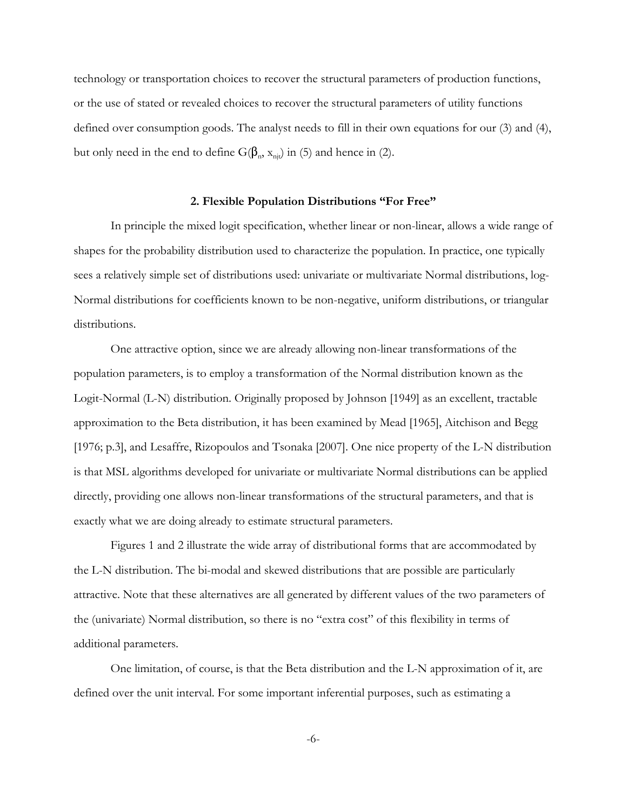technology or transportation choices to recover the structural parameters of production functions, or the use of stated or revealed choices to recover the structural parameters of utility functions defined over consumption goods. The analyst needs to fill in their own equations for our (3) and (4), but only need in the end to define  $G(\beta_n, x_{ni})$  in (5) and hence in (2).

# **2. Flexible Population Distributions "For Free"**

In principle the mixed logit specification, whether linear or non-linear, allows a wide range of shapes for the probability distribution used to characterize the population. In practice, one typically sees a relatively simple set of distributions used: univariate or multivariate Normal distributions, log-Normal distributions for coefficients known to be non-negative, uniform distributions, or triangular distributions.

One attractive option, since we are already allowing non-linear transformations of the population parameters, is to employ a transformation of the Normal distribution known as the Logit-Normal (L-N) distribution. Originally proposed by Johnson [1949] as an excellent, tractable approximation to the Beta distribution, it has been examined by Mead [1965], Aitchison and Begg [1976; p.3], and Lesaffre, Rizopoulos and Tsonaka [2007]. One nice property of the L-N distribution is that MSL algorithms developed for univariate or multivariate Normal distributions can be applied directly, providing one allows non-linear transformations of the structural parameters, and that is exactly what we are doing already to estimate structural parameters.

Figures 1 and 2 illustrate the wide array of distributional forms that are accommodated by the L-N distribution. The bi-modal and skewed distributions that are possible are particularly attractive. Note that these alternatives are all generated by different values of the two parameters of the (univariate) Normal distribution, so there is no "extra cost" of this flexibility in terms of additional parameters.

One limitation, of course, is that the Beta distribution and the L-N approximation of it, are defined over the unit interval. For some important inferential purposes, such as estimating a

-6-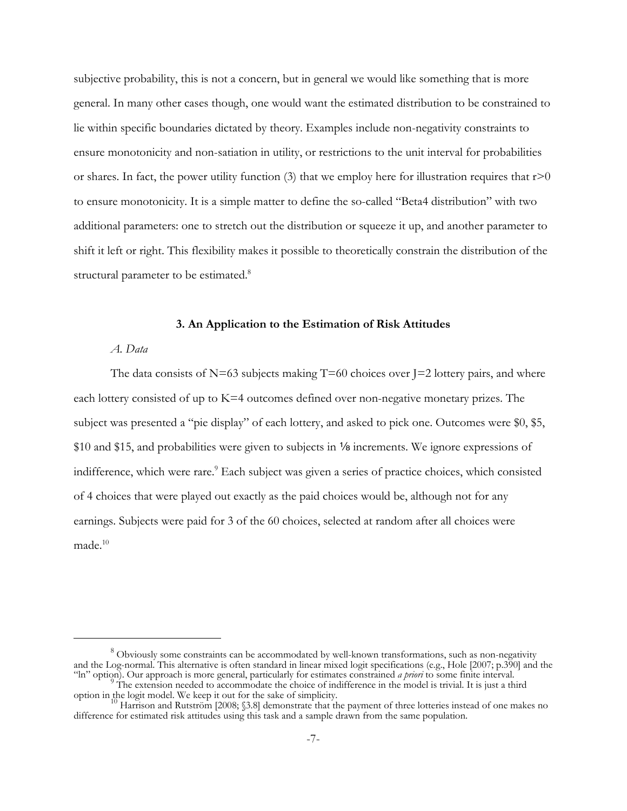subjective probability, this is not a concern, but in general we would like something that is more general. In many other cases though, one would want the estimated distribution to be constrained to lie within specific boundaries dictated by theory. Examples include non-negativity constraints to ensure monotonicity and non-satiation in utility, or restrictions to the unit interval for probabilities or shares. In fact, the power utility function (3) that we employ here for illustration requires that  $r>0$ to ensure monotonicity. It is a simple matter to define the so-called "Beta4 distribution" with two additional parameters: one to stretch out the distribution or squeeze it up, and another parameter to shift it left or right. This flexibility makes it possible to theoretically constrain the distribution of the structural parameter to be estimated.<sup>8</sup>

#### **3. An Application to the Estimation of Risk Attitudes**

# *A. Data*

The data consists of  $N=63$  subjects making T=60 choices over J=2 lottery pairs, and where each lottery consisted of up to K=4 outcomes defined over non-negative monetary prizes. The subject was presented a "pie display" of each lottery, and asked to pick one. Outcomes were \$0, \$5,  $$10$  and  $$15$ , and probabilities were given to subjects in  $\frac{1}{8}$  increments. We ignore expressions of indifference, which were rare.<sup>9</sup> Each subject was given a series of practice choices, which consisted of 4 choices that were played out exactly as the paid choices would be, although not for any earnings. Subjects were paid for 3 of the 60 choices, selected at random after all choices were made.<sup>10</sup>

<sup>&</sup>lt;sup>8</sup> Obviously some constraints can be accommodated by well-known transformations, such as non-negativity and the Log-normal. This alternative is often standard in linear mixed logit specifications (e.g., Hole [2007; p.390] and the "In" option). Our approach is more general, particularly for estimates constrained *a priori* to some finite interval.<br>The extension needed to accommodate the choice of indifference in the model is trivial. It is just a th

option in the logit model. We keep it out for the sake of simplicity.<br><sup>10</sup> Harrison and Rutström [2008; §3.8] demonstrate that the payment of three lotteries instead of one makes no

difference for estimated risk attitudes using this task and a sample drawn from the same population.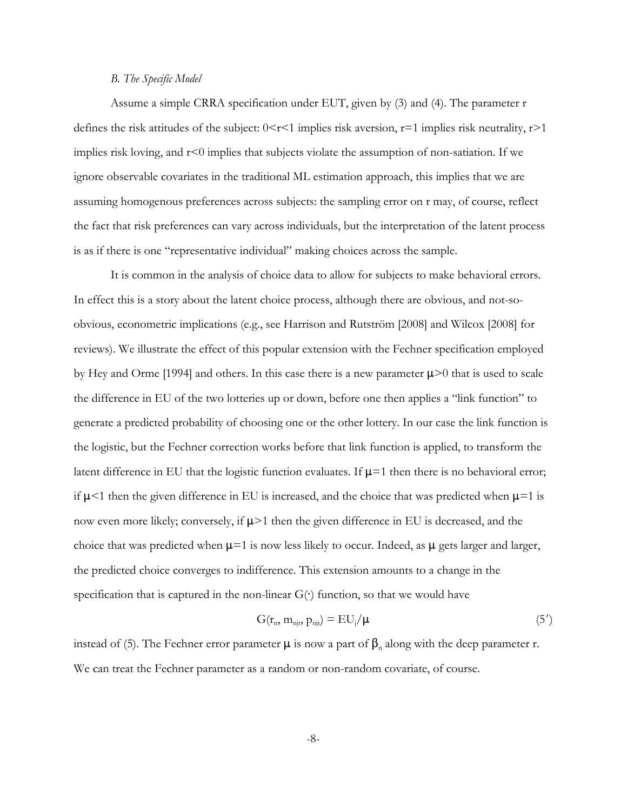### *B. The Specific Model*

Assume a simple CRRA specification under EUT, given by (3) and (4). The parameter r defines the risk attitudes of the subject:  $0 \le r \le 1$  implies risk aversion,  $r=1$  implies risk neutrality,  $r>1$ implies risk loving, and  $r < 0$  implies that subjects violate the assumption of non-satiation. If we ignore observable covariates in the traditional ML estimation approach, this implies that we are assuming homogenous preferences across subjects: the sampling error on r may, of course, reflect the fact that risk preferences can vary across individuals, but the interpretation of the latent process is as if there is one "representative individual" making choices across the sample.

It is common in the analysis of choice data to allow for subjects to make behavioral errors. In effect this is a story about the latent choice process, although there are obvious, and not-soobvious, econometric implications (e.g., see Harrison and Rutström [2008] and Wilcox [2008] for reviews). We illustrate the effect of this popular extension with the Fechner specification employed by Hey and Orme [1994] and others. In this case there is a new parameter  $\mu$  >0 that is used to scale the difference in EU of the two lotteries up or down, before one then applies a "link function" to generate a predicted probability of choosing one or the other lottery. In our case the link function is the logistic, but the Fechner correction works before that link function is applied, to transform the latent difference in EU that the logistic function evaluates. If  $\mu$ =1 then there is no behavioral error; if  $\mu$ <1 then the given difference in EU is increased, and the choice that was predicted when  $\mu$ =1 is now even more likely; conversely, if  $\mu$  >1 then the given difference in EU is decreased, and the choice that was predicted when  $\mu$ =1 is now less likely to occur. Indeed, as  $\mu$  gets larger and larger, the predicted choice converges to indifference. This extension amounts to a change in the specification that is captured in the non-linear  $G(·)$  function, so that we would have

$$
G(\mathbf{r}_n, \mathbf{m}_{\mathsf{nip}}, \mathbf{p}_{\mathsf{nip}}) = \mathbf{E} \mathbf{U}_j / \mu \tag{5'}
$$

instead of (5). The Fechner error parameter  $\mu$  is now a part of  $\beta_n$  along with the deep parameter r. We can treat the Fechner parameter as a random or non-random covariate, of course.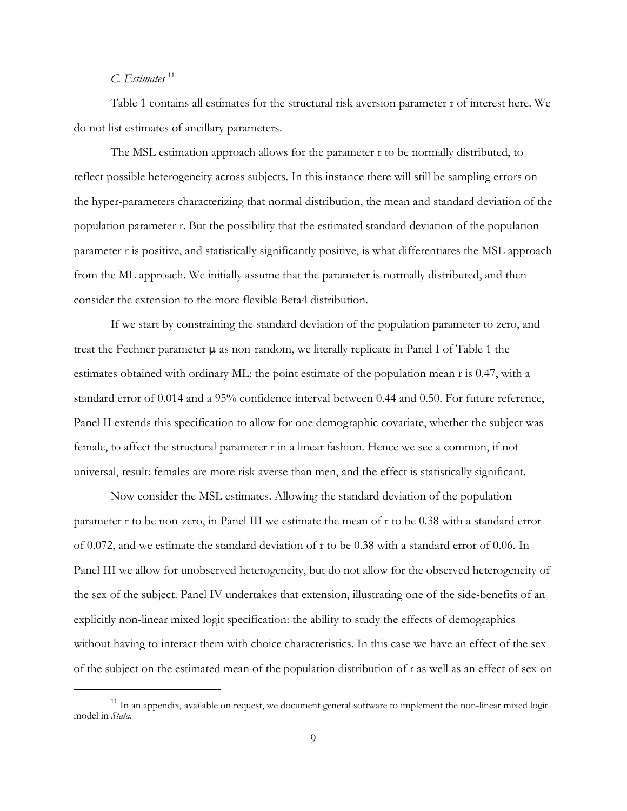# *C. Estimates* <sup>11</sup>

Table 1 contains all estimates for the structural risk aversion parameter r of interest here. We do not list estimates of ancillary parameters.

The MSL estimation approach allows for the parameter r to be normally distributed, to reflect possible heterogeneity across subjects. In this instance there will still be sampling errors on the hyper-parameters characterizing that normal distribution, the mean and standard deviation of the population parameter r. But the possibility that the estimated standard deviation of the population parameter r is positive, and statistically significantly positive, is what differentiates the MSL approach from the ML approach. We initially assume that the parameter is normally distributed, and then consider the extension to the more flexible Beta4 distribution.

If we start by constraining the standard deviation of the population parameter to zero, and treat the Fechner parameter  $\mu$  as non-random, we literally replicate in Panel I of Table 1 the estimates obtained with ordinary ML: the point estimate of the population mean r is 0.47, with a standard error of 0.014 and a 95% confidence interval between 0.44 and 0.50. For future reference, Panel II extends this specification to allow for one demographic covariate, whether the subject was female, to affect the structural parameter r in a linear fashion. Hence we see a common, if not universal, result: females are more risk averse than men, and the effect is statistically significant.

Now consider the MSL estimates. Allowing the standard deviation of the population parameter r to be non-zero, in Panel III we estimate the mean of r to be 0.38 with a standard error of 0.072, and we estimate the standard deviation of r to be 0.38 with a standard error of 0.06. In Panel III we allow for unobserved heterogeneity, but do not allow for the observed heterogeneity of the sex of the subject. Panel IV undertakes that extension, illustrating one of the side-benefits of an explicitly non-linear mixed logit specification: the ability to study the effects of demographics without having to interact them with choice characteristics. In this case we have an effect of the sex of the subject on the estimated mean of the population distribution of r as well as an effect of sex on

 $11$  In an appendix, available on request, we document general software to implement the non-linear mixed logit model in *Stata*.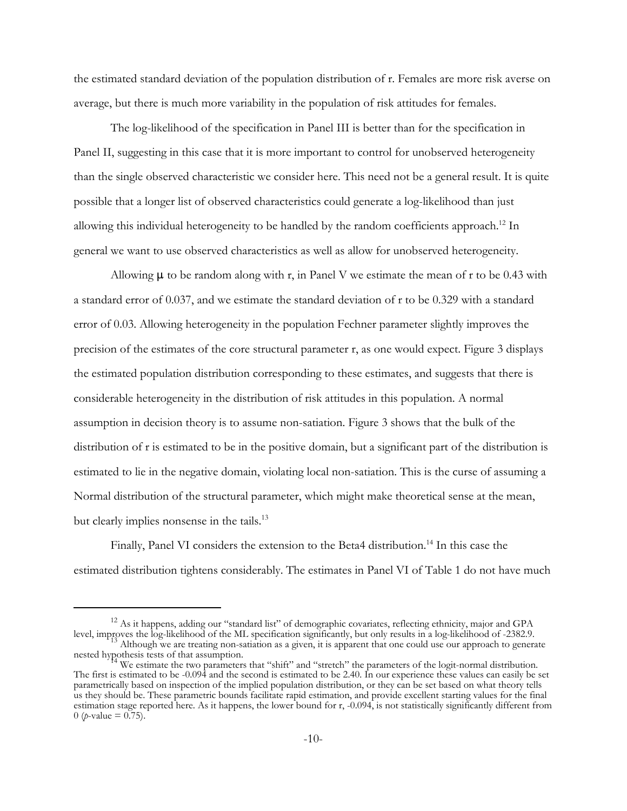the estimated standard deviation of the population distribution of r. Females are more risk averse on average, but there is much more variability in the population of risk attitudes for females.

The log-likelihood of the specification in Panel III is better than for the specification in Panel II, suggesting in this case that it is more important to control for unobserved heterogeneity than the single observed characteristic we consider here. This need not be a general result. It is quite possible that a longer list of observed characteristics could generate a log-likelihood than just allowing this individual heterogeneity to be handled by the random coefficients approach.<sup>12</sup> In general we want to use observed characteristics as well as allow for unobserved heterogeneity.

Allowing  $\mu$  to be random along with r, in Panel V we estimate the mean of r to be 0.43 with a standard error of 0.037, and we estimate the standard deviation of r to be 0.329 with a standard error of 0.03. Allowing heterogeneity in the population Fechner parameter slightly improves the precision of the estimates of the core structural parameter r, as one would expect. Figure 3 displays the estimated population distribution corresponding to these estimates, and suggests that there is considerable heterogeneity in the distribution of risk attitudes in this population. A normal assumption in decision theory is to assume non-satiation. Figure 3 shows that the bulk of the distribution of r is estimated to be in the positive domain, but a significant part of the distribution is estimated to lie in the negative domain, violating local non-satiation. This is the curse of assuming a Normal distribution of the structural parameter, which might make theoretical sense at the mean, but clearly implies nonsense in the tails.<sup>13</sup>

Finally, Panel VI considers the extension to the Beta4 distribution.<sup>14</sup> In this case the estimated distribution tightens considerably. The estimates in Panel VI of Table 1 do not have much

<sup>&</sup>lt;sup>12</sup> As it happens, adding our "standard list" of demographic covariates, reflecting ethnicity, major and GPA

level, improves the log-likelihood of the ML specification significantly, but only results in a log-likelihood of -2382.9.<br><sup>13</sup> Although we are treating non-satiation as a given, it is apparent that one could use our appro nested hypothesis tests of that assumption.<br><sup>14</sup> We estimate the two parameters that "shift" and "stretch" the parameters of the logit-normal distribution.

The first is estimated to be -0.094 and the second is estimated to be 2.40. In our experience these values can easily be set parametrically based on inspection of the implied population distribution, or they can be set based on what theory tells us they should be. These parametric bounds facilitate rapid estimation, and provide excellent starting values for the final estimation stage reported here. As it happens, the lower bound for r, -0.094, is not statistically significantly different from 0 (*p*-value =  $0.75$ ).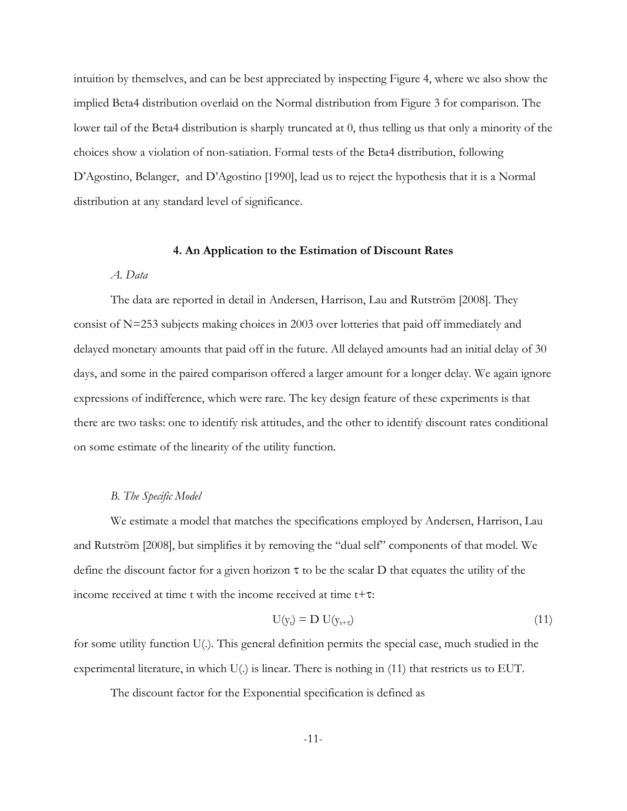intuition by themselves, and can be best appreciated by inspecting Figure 4, where we also show the implied Beta4 distribution overlaid on the Normal distribution from Figure 3 for comparison. The lower tail of the Beta4 distribution is sharply truncated at 0, thus telling us that only a minority of the choices show a violation of non-satiation. Formal tests of the Beta4 distribution, following D'Agostino, Belanger, and D'Agostino [1990], lead us to reject the hypothesis that it is a Normal distribution at any standard level of significance.

#### **4. An Application to the Estimation of Discount Rates**

#### *A. Data*

The data are reported in detail in Andersen, Harrison, Lau and Rutström [2008]. They consist of N=253 subjects making choices in 2003 over lotteries that paid off immediately and delayed monetary amounts that paid off in the future. All delayed amounts had an initial delay of 30 days, and some in the paired comparison offered a larger amount for a longer delay. We again ignore expressions of indifference, which were rare. The key design feature of these experiments is that there are two tasks: one to identify risk attitudes, and the other to identify discount rates conditional on some estimate of the linearity of the utility function.

#### *B. The Specific Model*

We estimate a model that matches the specifications employed by Andersen, Harrison, Lau and Rutström [2008], but simplifies it by removing the "dual self" components of that model. We define the discount factor for a given horizon  $\tau$  to be the scalar D that equates the utility of the income received at time t with the income received at time  $t+\tau$ :

$$
U(y_t) = D U(y_{t+\tau})
$$
\n(11)

for some utility function U(.). This general definition permits the special case, much studied in the experimental literature, in which U(.) is linear. There is nothing in (11) that restricts us to EUT.

The discount factor for the Exponential specification is defined as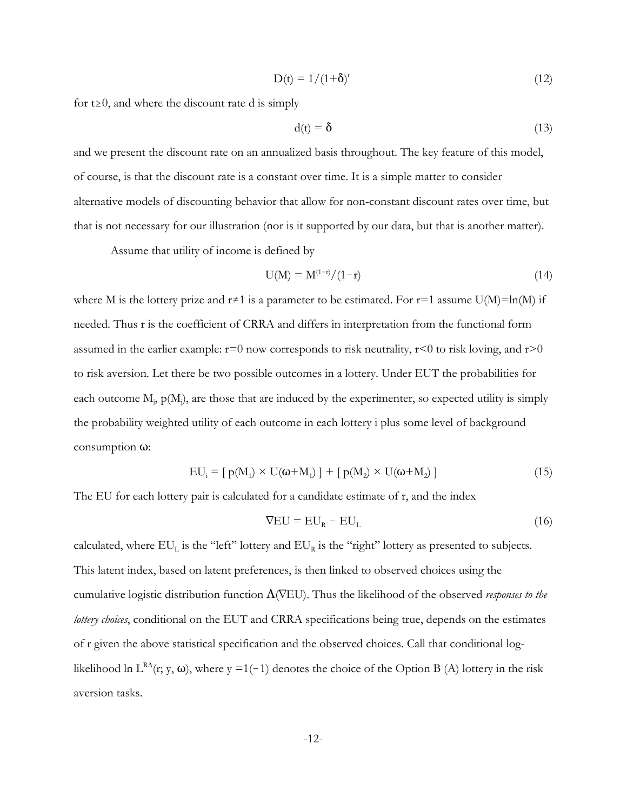$$
D(t) = 1/(1+\delta)^t \tag{12}
$$

for  $t \geq 0$ , and where the discount rate d is simply

$$
d(t) = \delta \tag{13}
$$

and we present the discount rate on an annualized basis throughout. The key feature of this model, of course, is that the discount rate is a constant over time. It is a simple matter to consider alternative models of discounting behavior that allow for non-constant discount rates over time, but that is not necessary for our illustration (nor is it supported by our data, but that is another matter).

Assume that utility of income is defined by

$$
U(M) = M^{(1-r)}/(1-r)
$$
 (14)

where M is the lottery prize and  $r \neq 1$  is a parameter to be estimated. For r=1 assume U(M)=ln(M) if needed. Thus r is the coefficient of CRRA and differs in interpretation from the functional form assumed in the earlier example:  $r=0$  now corresponds to risk neutrality,  $r<0$  to risk loving, and  $r>0$ to risk aversion. Let there be two possible outcomes in a lottery. Under EUT the probabilities for each outcome  $M_j$ ,  $p(M_j)$ , are those that are induced by the experimenter, so expected utility is simply the probability weighted utility of each outcome in each lottery i plus some level of background consumption  $\omega$ :

$$
EU_i = [p(M_1) \times U(\omega + M_1)] + [p(M_2) \times U(\omega + M_2)] \tag{15}
$$

The EU for each lottery pair is calculated for a candidate estimate of r, and the index

$$
\nabla \mathbf{E} \mathbf{U} = \mathbf{E} \mathbf{U}_{\mathbf{R}} - \mathbf{E} \mathbf{U}_{\mathbf{L}} \tag{16}
$$

calculated, where  $EU_L$  is the "left" lottery and  $EU_R$  is the "right" lottery as presented to subjects. This latent index, based on latent preferences, is then linked to observed choices using the cumulative logistic distribution function  $\Lambda$ (VEU). Thus the likelihood of the observed *responses to the lottery choices*, conditional on the EUT and CRRA specifications being true, depends on the estimates of r given the above statistical specification and the observed choices. Call that conditional loglikelihood ln  $L^{RA}(r; y, \omega)$ , where y =1(-1) denotes the choice of the Option B (A) lottery in the risk aversion tasks.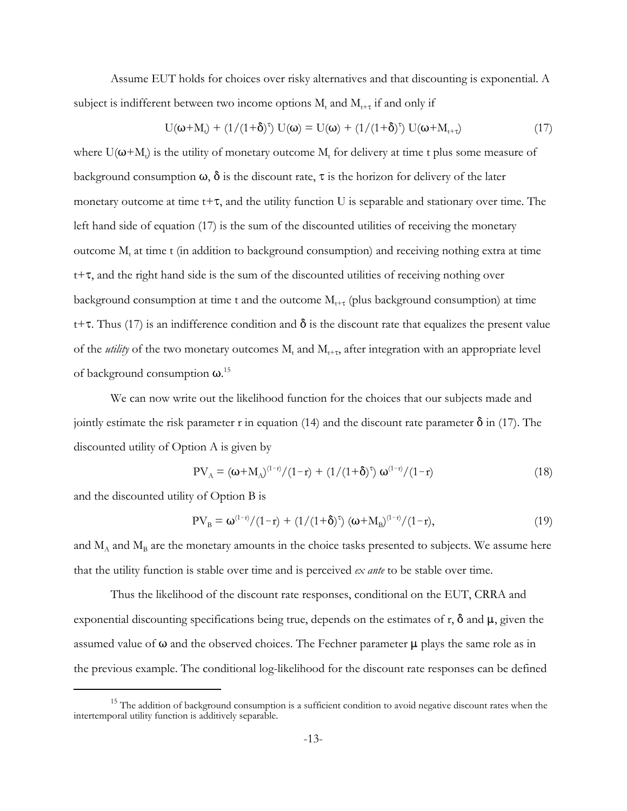Assume EUT holds for choices over risky alternatives and that discounting is exponential. A subject is indifferent between two income options  $M_t$  and  $M_{t+\tau}$  if and only if

$$
U(\omega + M_t) + (1/(1+\delta)^{\tau}) U(\omega) = U(\omega) + (1/(1+\delta)^{\tau}) U(\omega + M_{t+\tau})
$$
\n(17)

where  $U(\omega + M_t)$  is the utility of monetary outcome  $M_t$  for delivery at time t plus some measure of background consumption  $\omega$ ,  $\delta$  is the discount rate,  $\tau$  is the horizon for delivery of the later monetary outcome at time  $t+\tau$ , and the utility function U is separable and stationary over time. The left hand side of equation (17) is the sum of the discounted utilities of receiving the monetary outcome M<sub>t</sub> at time t (in addition to background consumption) and receiving nothing extra at time  $t+\tau$ , and the right hand side is the sum of the discounted utilities of receiving nothing over background consumption at time t and the outcome  $M_{t+\tau}$  (plus background consumption) at time t+ $\tau$ . Thus (17) is an indifference condition and  $\delta$  is the discount rate that equalizes the present value of the *utility* of the two monetary outcomes  $M_t$  and  $M_{t+\tau}$ , after integration with an appropriate level of background consumption  $\omega$ .<sup>15</sup>

We can now write out the likelihood function for the choices that our subjects made and jointly estimate the risk parameter r in equation (14) and the discount rate parameter  $\delta$  in (17). The discounted utility of Option A is given by

$$
PV_{A} = (\omega + M_{A})^{(1-r)}/(1-r) + (1/(1+\delta)^{r}) \omega^{(1-r)}/(1-r)
$$
\n(18)

and the discounted utility of Option B is

$$
PV_{B} = \omega^{(1-r)}/(1-r) + (1/(1+\delta)^{r}) (\omega + M_{B})^{(1-r)}/(1-r),
$$
\n(19)

and  $M_A$  and  $M_B$  are the monetary amounts in the choice tasks presented to subjects. We assume here that the utility function is stable over time and is perceived *ex ante* to be stable over time.

Thus the likelihood of the discount rate responses, conditional on the EUT, CRRA and exponential discounting specifications being true, depends on the estimates of  $r$ ,  $\delta$  and  $\mu$ , given the assumed value of  $\omega$  and the observed choices. The Fechner parameter  $\mu$  plays the same role as in the previous example. The conditional log-likelihood for the discount rate responses can be defined

<sup>&</sup>lt;sup>15</sup> The addition of background consumption is a sufficient condition to avoid negative discount rates when the intertemporal utility function is additively separable.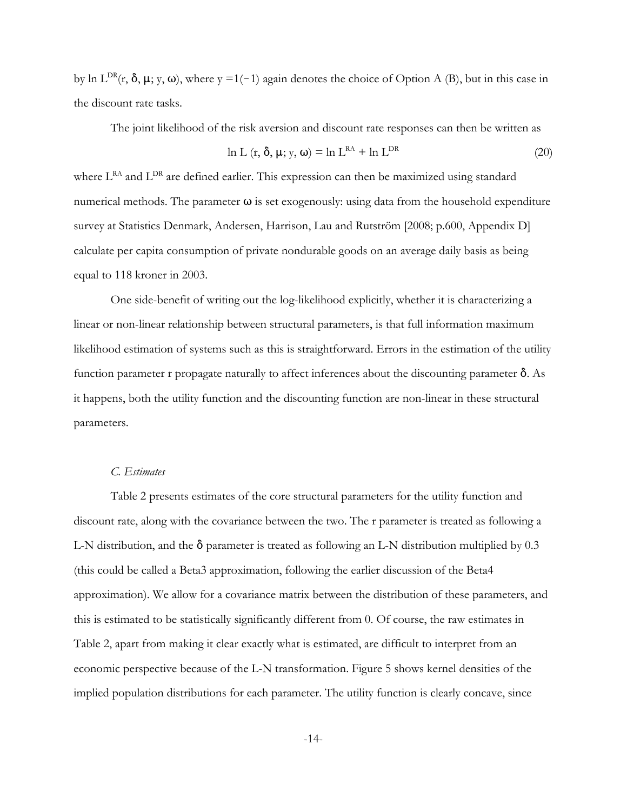by ln  $L^{DR}(r, \delta, \mu; v, \omega)$ , where y =1(-1) again denotes the choice of Option A (B), but in this case in the discount rate tasks.

The joint likelihood of the risk aversion and discount rate responses can then be written as

$$
\ln L \left( \mathbf{r}, \delta, \mu; \mathbf{y}, \omega \right) = \ln L^{\text{RA}} + \ln L^{\text{DR}} \tag{20}
$$

where L<sup>RA</sup> and L<sup>DR</sup> are defined earlier. This expression can then be maximized using standard numerical methods. The parameter  $\omega$  is set exogenously: using data from the household expenditure survey at Statistics Denmark, Andersen, Harrison, Lau and Rutström [2008; p.600, Appendix D] calculate per capita consumption of private nondurable goods on an average daily basis as being equal to 118 kroner in 2003.

One side-benefit of writing out the log-likelihood explicitly, whether it is characterizing a linear or non-linear relationship between structural parameters, is that full information maximum likelihood estimation of systems such as this is straightforward. Errors in the estimation of the utility function parameter r propagate naturally to affect inferences about the discounting parameter  $\delta$ . As it happens, both the utility function and the discounting function are non-linear in these structural parameters.

#### *C. Estimates*

Table 2 presents estimates of the core structural parameters for the utility function and discount rate, along with the covariance between the two. The r parameter is treated as following a L-N distribution, and the  $\delta$  parameter is treated as following an L-N distribution multiplied by 0.3 (this could be called a Beta3 approximation, following the earlier discussion of the Beta4 approximation). We allow for a covariance matrix between the distribution of these parameters, and this is estimated to be statistically significantly different from 0. Of course, the raw estimates in Table 2, apart from making it clear exactly what is estimated, are difficult to interpret from an economic perspective because of the L-N transformation. Figure 5 shows kernel densities of the implied population distributions for each parameter. The utility function is clearly concave, since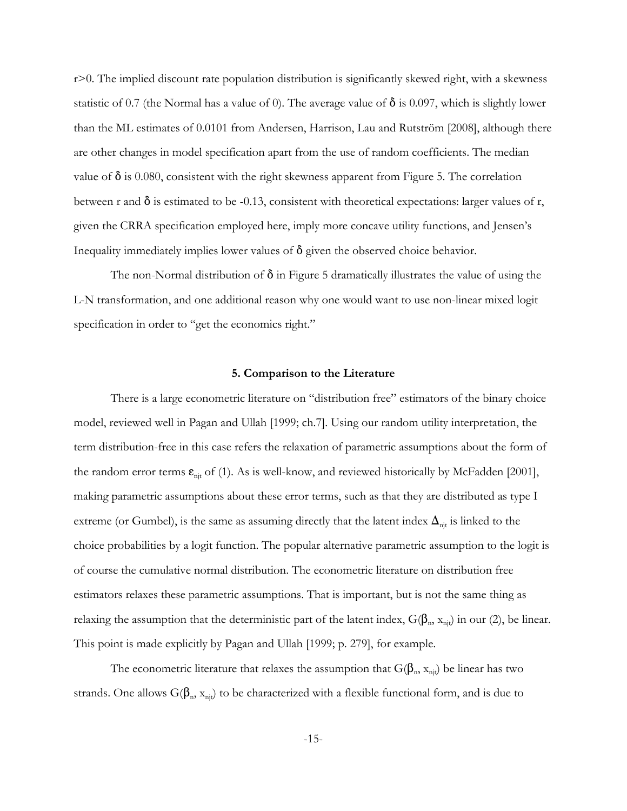r>0. The implied discount rate population distribution is significantly skewed right, with a skewness statistic of 0.7 (the Normal has a value of 0). The average value of  $\delta$  is 0.097, which is slightly lower than the ML estimates of 0.0101 from Andersen, Harrison, Lau and Rutström [2008], although there are other changes in model specification apart from the use of random coefficients. The median value of  $\delta$  is 0.080, consistent with the right skewness apparent from Figure 5. The correlation between r and  $\delta$  is estimated to be -0.13, consistent with theoretical expectations: larger values of r, given the CRRA specification employed here, imply more concave utility functions, and Jensen's Inequality immediately implies lower values of  $\delta$  given the observed choice behavior.

The non-Normal distribution of  $\delta$  in Figure 5 dramatically illustrates the value of using the L-N transformation, and one additional reason why one would want to use non-linear mixed logit specification in order to "get the economics right."

#### **5. Comparison to the Literature**

There is a large econometric literature on "distribution free" estimators of the binary choice model, reviewed well in Pagan and Ullah [1999; ch.7]. Using our random utility interpretation, the term distribution-free in this case refers the relaxation of parametric assumptions about the form of the random error terms  $\epsilon_{\rm nit}$  of (1). As is well-know, and reviewed historically by McFadden [2001], making parametric assumptions about these error terms, such as that they are distributed as type I extreme (or Gumbel), is the same as assuming directly that the latent index  $\Delta_{\rm nit}$  is linked to the choice probabilities by a logit function. The popular alternative parametric assumption to the logit is of course the cumulative normal distribution. The econometric literature on distribution free estimators relaxes these parametric assumptions. That is important, but is not the same thing as relaxing the assumption that the deterministic part of the latent index,  $G(\beta_n, x_{n,j})$  in our (2), be linear. This point is made explicitly by Pagan and Ullah [1999; p. 279], for example.

The econometric literature that relaxes the assumption that  $G(\beta_n, x_{n|t})$  be linear has two strands. One allows  $G(\beta_n, x_{ni})$  to be characterized with a flexible functional form, and is due to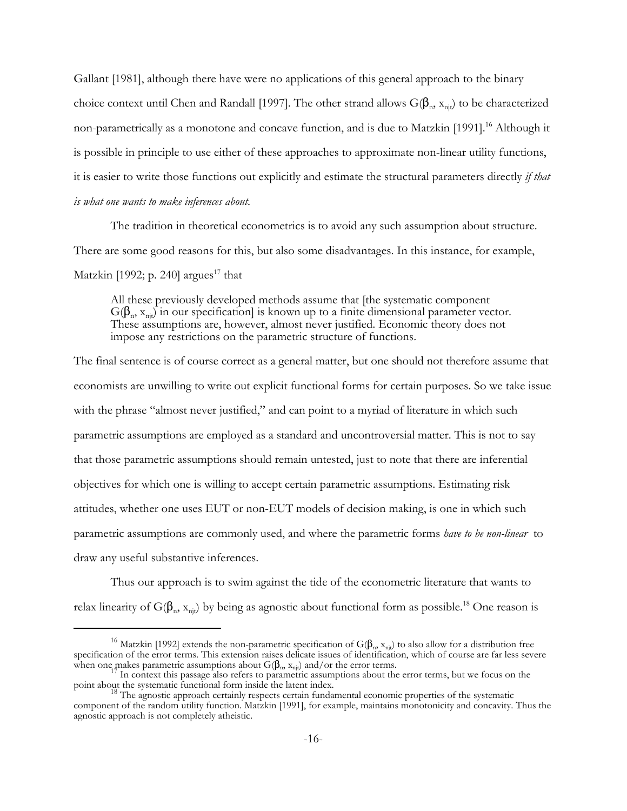Gallant [1981], although there have were no applications of this general approach to the binary choice context until Chen and Randall [1997]. The other strand allows  $G(\beta_n, x_{ni})$  to be characterized non-parametrically as a monotone and concave function, and is due to Matzkin [1991].<sup>16</sup> Although it is possible in principle to use either of these approaches to approximate non-linear utility functions, it is easier to write those functions out explicitly and estimate the structural parameters directly *if that is what one wants to make inferences about*.

The tradition in theoretical econometrics is to avoid any such assumption about structure. There are some good reasons for this, but also some disadvantages. In this instance, for example, Matzkin [1992; p. 240] argues<sup>17</sup> that

All these previously developed methods assume that [the systematic component  $G(\beta_n, x_{ni})$  in our specification] is known up to a finite dimensional parameter vector. These assumptions are, however, almost never justified. Economic theory does not impose any restrictions on the parametric structure of functions.

The final sentence is of course correct as a general matter, but one should not therefore assume that economists are unwilling to write out explicit functional forms for certain purposes. So we take issue with the phrase "almost never justified," and can point to a myriad of literature in which such parametric assumptions are employed as a standard and uncontroversial matter. This is not to say that those parametric assumptions should remain untested, just to note that there are inferential objectives for which one is willing to accept certain parametric assumptions. Estimating risk attitudes, whether one uses EUT or non-EUT models of decision making, is one in which such parametric assumptions are commonly used, and where the parametric forms *have to be non-linear* to draw any useful substantive inferences.

Thus our approach is to swim against the tide of the econometric literature that wants to relax linearity of  $G(\beta_n, x_{n\tau})$  by being as agnostic about functional form as possible.<sup>18</sup> One reason is

<sup>&</sup>lt;sup>16</sup> Matzkin [1992] extends the non-parametric specification of G( $\beta_n$ ,  $x_{nj}$ ) to also allow for a distribution free specification of the error terms. This extension raises delicate issues of identification, which of course are far less severe when one makes parametric assumptions about  $G(\beta_n, x_{ni})$  and/or the error terms.<br><sup>17</sup> In context this passage also refers to parametric assumptions about the error terms, but we focus on the

point about the systematic functional form inside the latent index.<br><sup>18</sup> The agnostic approach certainly respects certain fundamental economic properties of the systematic

component of the random utility function. Matzkin [1991], for example, maintains monotonicity and concavity. Thus the agnostic approach is not completely atheistic.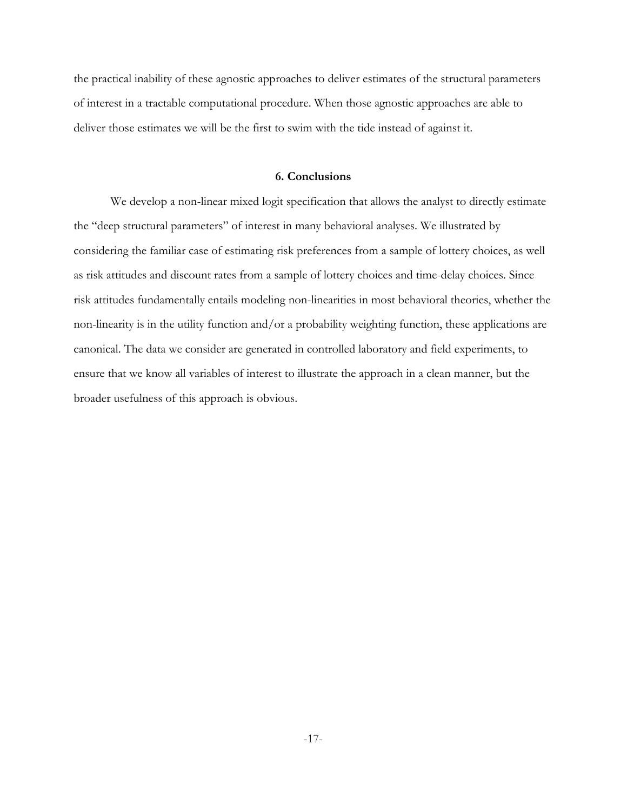the practical inability of these agnostic approaches to deliver estimates of the structural parameters of interest in a tractable computational procedure. When those agnostic approaches are able to deliver those estimates we will be the first to swim with the tide instead of against it.

# **6. Conclusions**

We develop a non-linear mixed logit specification that allows the analyst to directly estimate the "deep structural parameters" of interest in many behavioral analyses. We illustrated by considering the familiar case of estimating risk preferences from a sample of lottery choices, as well as risk attitudes and discount rates from a sample of lottery choices and time-delay choices. Since risk attitudes fundamentally entails modeling non-linearities in most behavioral theories, whether the non-linearity is in the utility function and/or a probability weighting function, these applications are canonical. The data we consider are generated in controlled laboratory and field experiments, to ensure that we know all variables of interest to illustrate the approach in a clean manner, but the broader usefulness of this approach is obvious.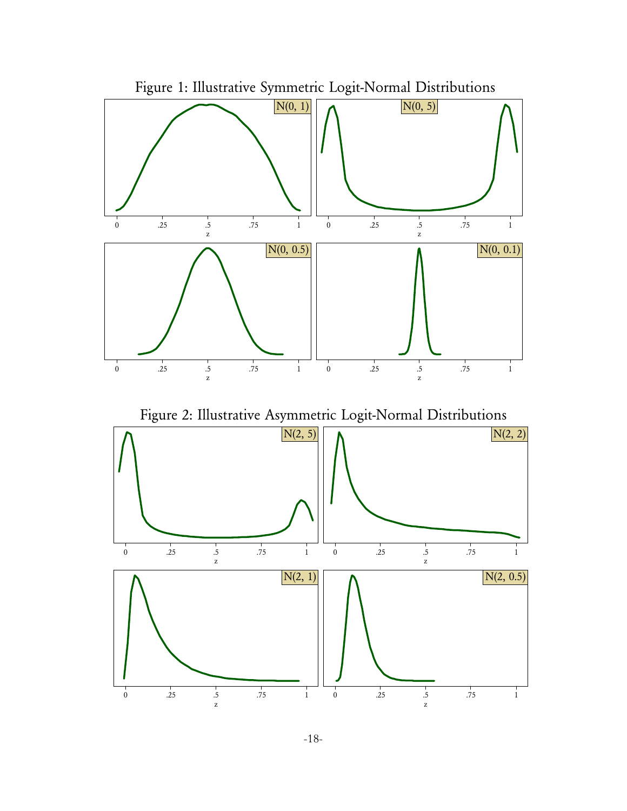

-18-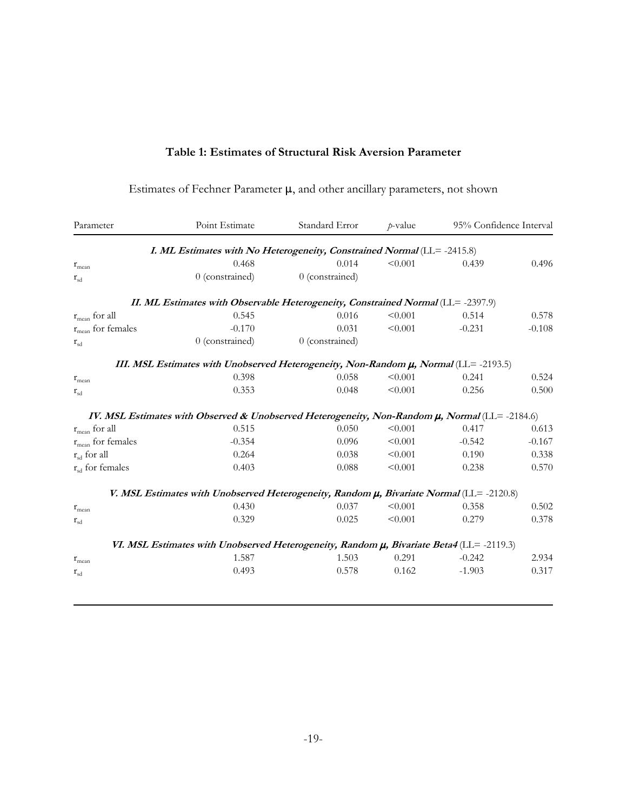| Parameter                                                               | Point Estimate                                                                                      | Standard Error  | $p$ -value | 95% Confidence Interval |          |  |  |  |  |
|-------------------------------------------------------------------------|-----------------------------------------------------------------------------------------------------|-----------------|------------|-------------------------|----------|--|--|--|--|
| I. ML Estimates with No Heterogeneity, Constrained Normal (LL= -2415.8) |                                                                                                     |                 |            |                         |          |  |  |  |  |
| $r_{mean}$                                                              | 0.468                                                                                               | 0.014           | < 0.001    | 0.439                   | 0.496    |  |  |  |  |
| $r_{sd}$                                                                | 0 (constrained)                                                                                     | 0 (constrained) |            |                         |          |  |  |  |  |
|                                                                         | II. ML Estimates with Observable Heterogeneity, Constrained Normal (LL= -2397.9)                    |                 |            |                         |          |  |  |  |  |
| $r_{mean}$ for all                                                      | 0.545                                                                                               | 0.016           | < 0.001    | 0.514                   | 0.578    |  |  |  |  |
| $\rm r_{mean}$ for females                                              | $-0.170$                                                                                            | 0.031           | < 0.001    | $-0.231$                | $-0.108$ |  |  |  |  |
| $r_{sd}$                                                                | 0 (constrained)                                                                                     | 0 (constrained) |            |                         |          |  |  |  |  |
|                                                                         | III. MSL Estimates with Unobserved Heterogeneity, Non-Random $\mu$ , Normal (LL= -2193.5)           |                 |            |                         |          |  |  |  |  |
| $r_{mean}$                                                              | 0.398                                                                                               | 0.058           | < 0.001    | 0.241                   | 0.524    |  |  |  |  |
| $\mathbf{r}_{sd}$                                                       | 0.353                                                                                               | 0.048           | < 0.001    | 0.256                   | 0.500    |  |  |  |  |
|                                                                         | IV. MSL Estimates with Observed & Unobserved Heterogeneity, Non-Random $\mu$ , Normal (LL= -2184.6) |                 |            |                         |          |  |  |  |  |
| $\rm r_{mean}$ for all                                                  | 0.515                                                                                               | 0.050           | < 0.001    | 0.417                   | 0.613    |  |  |  |  |
| $\rm r_{mean}$ for females                                              | $-0.354$                                                                                            | 0.096           | < 0.001    | $-0.542$                | $-0.167$ |  |  |  |  |
| $r_{sd}$ for all                                                        | 0.264                                                                                               | 0.038           | < 0.001    | 0.190                   | 0.338    |  |  |  |  |
| $r_{sd}$ for females                                                    | 0.403                                                                                               | 0.088           | < 0.001    | 0.238                   | 0.570    |  |  |  |  |
|                                                                         | V. MSL Estimates with Unobserved Heterogeneity, Random $\mu$ , Bivariate Normal (LL= -2120.8)       |                 |            |                         |          |  |  |  |  |
| $r_{mean}$                                                              | 0.430                                                                                               | 0.037           | < 0.001    | 0.358                   | 0.502    |  |  |  |  |
| $r_{sd}$                                                                | 0.329                                                                                               | 0.025           | < 0.001    | 0.279                   | 0.378    |  |  |  |  |
|                                                                         | VI. MSL Estimates with Unobserved Heterogeneity, Random $\mu$ , Bivariate Beta4 (LL= -2119.3)       |                 |            |                         |          |  |  |  |  |
| $\mathbf{r}_{\text{mean}}$                                              | 1.587                                                                                               | 1.503           | 0.291      | $-0.242$                | 2.934    |  |  |  |  |
| $r_{sd}$                                                                | 0.493                                                                                               | 0.578           | 0.162      | $-1.903$                | 0.317    |  |  |  |  |
|                                                                         |                                                                                                     |                 |            |                         |          |  |  |  |  |

# Estimates of Fechner Parameter  $\mu$ , and other ancillary parameters, not shown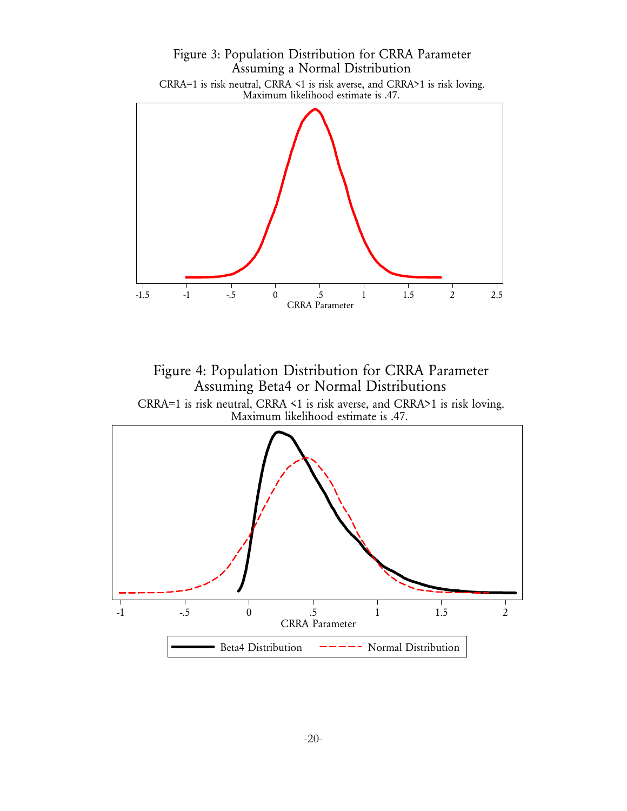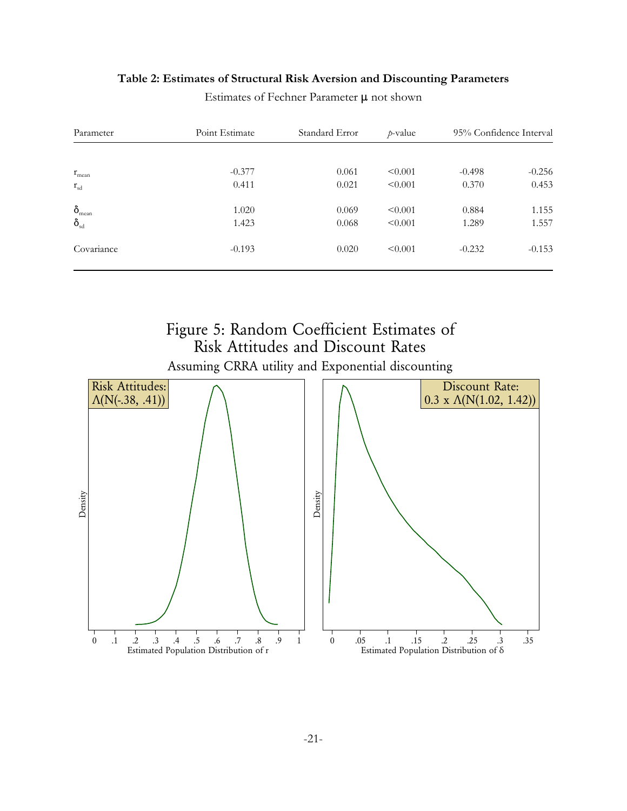| Parameter                | Point Estimate | Standard Error | $p$ -value | 95% Confidence Interval |          |
|--------------------------|----------------|----------------|------------|-------------------------|----------|
|                          |                |                |            |                         |          |
| $r_{\text{mean}}$        | $-0.377$       | 0.061          | < 0.001    | $-0.498$                | $-0.256$ |
| $r_{sd}$                 | 0.411          | 0.021          | < 0.001    | 0.370                   | 0.453    |
| $\delta$ <sub>mean</sub> | 1.020          | 0.069          | < 0.001    | 0.884                   | 1.155    |
| $\delta_{sd}$            | 1.423          | 0.068          | < 0.001    | 1.289                   | 1.557    |
| Covariance               | $-0.193$       | 0.020          | < 0.001    | $-0.232$                | $-0.153$ |

# **Table 2: Estimates of Structural Risk Aversion and Discounting Parameters**

Estimates of Fechner Parameter  $\mu$  not shown

# Figure 5: Random Coefficient Estimates of Risk Attitudes and Discount Rates



Assuming CRRA utility and Exponential discounting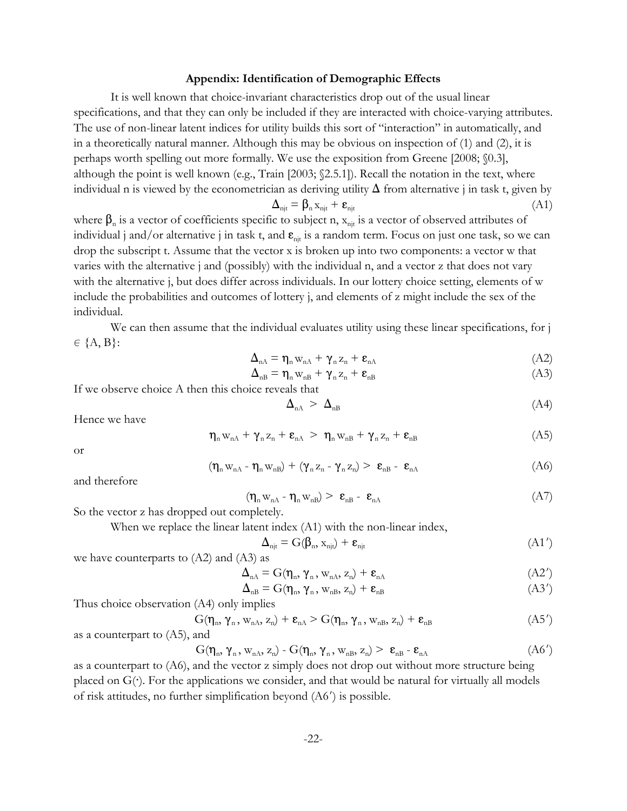# **Appendix: Identification of Demographic Effects**

It is well known that choice-invariant characteristics drop out of the usual linear specifications, and that they can only be included if they are interacted with choice-varying attributes. The use of non-linear latent indices for utility builds this sort of "interaction" in automatically, and in a theoretically natural manner. Although this may be obvious on inspection of (1) and (2), it is perhaps worth spelling out more formally. We use the exposition from Greene [2008; §0.3], although the point is well known (e.g., Train [2003;  $\S 2.5.1$ ]). Recall the notation in the text, where individual n is viewed by the econometrician as deriving utility  $\Delta$  from alternative j in task t, given by  $\Delta_{\rm njt} = \beta_{\rm n} x_{\rm njt} + \varepsilon_{\rm njt}$  (A1)

where  $\beta_n$  is a vector of coefficients specific to subject n,  $x_{njt}$  is a vector of observed attributes of individual j and/or alternative j in task t, and  $\epsilon_{\rm nit}$  is a random term. Focus on just one task, so we can drop the subscript t. Assume that the vector x is broken up into two components: a vector w that varies with the alternative j and (possibly) with the individual n, and a vector z that does not vary with the alternative j, but does differ across individuals. In our lottery choice setting, elements of w include the probabilities and outcomes of lottery j, and elements of z might include the sex of the individual.

We can then assume that the individual evaluates utility using these linear specifications, for  $\mathbf{j}$  $\in \{A, B\}$ :

$$
\Delta_{nA} = \eta_n w_{nA} + \gamma_n z_n + \epsilon_{nA} \tag{A2}
$$

$$
\Delta_{\rm nB} = \eta_{\rm n} \mathbf{w}_{\rm nB} + \gamma_{\rm n} \mathbf{z}_{\rm n} + \boldsymbol{\epsilon}_{\rm nB} \tag{A3}
$$

If we observe choice A then this choice reveals that

$$
\Delta_{\text{nA}} > \Delta_{\text{nB}} \tag{A4}
$$

Hence we have

$$
\eta_{n}w_{nA} + \gamma_{n}z_{n} + \varepsilon_{nA} > \eta_{n}w_{nB} + \gamma_{n}z_{n} + \varepsilon_{nB}
$$
\n(A5)

or

$$
(\eta_n w_{nA} - \eta_n w_{nB}) + (\gamma_n z_n - \gamma_n z_n) > \varepsilon_{nB} - \varepsilon_{nA}
$$
 (A6)

and therefore

$$
(\eta_n w_{nA} - \eta_n w_{nB}) > \varepsilon_{nB} - \varepsilon_{nA}
$$
 (A7)

So the vector z has dropped out completely.

When we replace the linear latent index (A1) with the non-linear index,

$$
\Delta_{\rm njt} = G(\beta_{\rm n}, x_{\rm njt}) + \varepsilon_{\rm njt} \tag{A1'}
$$

we have counterparts to  $(A2)$  and  $(A3)$  as

$$
\Delta_{n\Lambda} = G(\eta_n, \gamma_n, w_{n\Lambda}, z_n) + \varepsilon_{n\Lambda} \tag{A2'}
$$

$$
\Delta_{\rm nB} = G(\eta_{\rm n}, \gamma_{\rm n}, w_{\rm nB}, z_{\rm n}) + \varepsilon_{\rm nB} \tag{A3'}
$$

Thus choice observation (A4) only implies

$$
G(\eta_n, \gamma_n, w_{n\Lambda}, z_n) + \varepsilon_{n\Lambda} > G(\eta_n, \gamma_n, w_{n\text{B}}, z_n) + \varepsilon_{n\text{B}}
$$
(A5')

as a counterpart to (A5), and

$$
G(\eta_n, \gamma_n, w_{n\Lambda}, z_n) - G(\eta_n, \gamma_n, w_{n\text{B}}, z_n) > \varepsilon_{n\text{B}} - \varepsilon_{n\Lambda}
$$
\n(A6')

as a counterpart to (A6), and the vector z simply does not drop out without more structure being placed on  $G(\cdot)$ . For the applications we consider, and that would be natural for virtually all models of risk attitudes, no further simplification beyond  $(AG')$  is possible.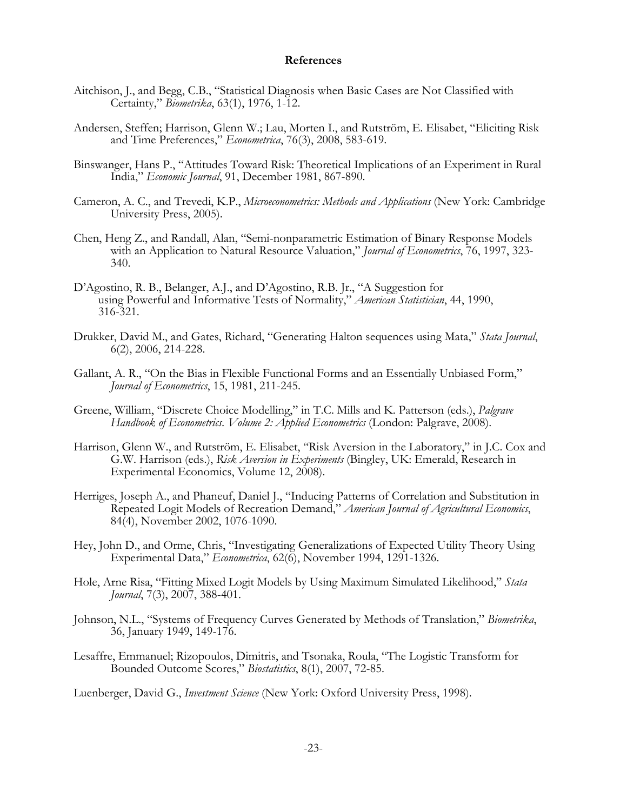#### **References**

- Aitchison, J., and Begg, C.B., "Statistical Diagnosis when Basic Cases are Not Classified with Certainty," *Biometrika*, 63(1), 1976, 1-12.
- Andersen, Steffen; Harrison, Glenn W.; Lau, Morten I., and Rutström, E. Elisabet, "Eliciting Risk and Time Preferences," *Econometrica*, 76(3), 2008, 583-619.
- Binswanger, Hans P., "Attitudes Toward Risk: Theoretical Implications of an Experiment in Rural India," *Economic Journal*, 91, December 1981, 867-890.
- Cameron, A. C., and Trevedi, K.P., *Microeconometrics: Methods and Applications* (New York: Cambridge University Press, 2005).
- Chen, Heng Z., and Randall, Alan, "Semi-nonparametric Estimation of Binary Response Models with an Application to Natural Resource Valuation," *Journal of Econometrics*, 76, 1997, 323- 340.
- D'Agostino, R. B., Belanger, A.J., and D'Agostino, R.B. Jr., "A Suggestion for using Powerful and Informative Tests of Normality," *American Statistician*, 44, 1990, 316-321.
- Drukker, David M., and Gates, Richard, "Generating Halton sequences using Mata," *Stata Journal*, 6(2), 2006, 214-228.
- Gallant, A. R., "On the Bias in Flexible Functional Forms and an Essentially Unbiased Form," *Journal of Econometrics*, 15, 1981, 211-245.
- Greene, William, "Discrete Choice Modelling," in T.C. Mills and K. Patterson (eds.), *Palgrave Handbook of Econometrics. Volume 2: Applied Econometrics* (London: Palgrave, 2008).
- Harrison, Glenn W., and Rutström, E. Elisabet, "Risk Aversion in the Laboratory," in J.C. Cox and G.W. Harrison (eds.), *Risk Aversion in Experiments* (Bingley, UK: Emerald, Research in Experimental Economics, Volume 12, 2008).
- Herriges, Joseph A., and Phaneuf, Daniel J., "Inducing Patterns of Correlation and Substitution in Repeated Logit Models of Recreation Demand," *American Journal of Agricultural Economics*, 84(4), November 2002, 1076-1090.
- Hey, John D., and Orme, Chris, "Investigating Generalizations of Expected Utility Theory Using Experimental Data," *Econometrica*, 62(6), November 1994, 1291-1326.
- Hole, Arne Risa, "Fitting Mixed Logit Models by Using Maximum Simulated Likelihood," *Stata Journal*, 7(3), 2007, 388-401.
- Johnson, N.L., "Systems of Frequency Curves Generated by Methods of Translation," *Biometrika*, 36, January 1949, 149-176.
- Lesaffre, Emmanuel; Rizopoulos, Dimitris, and Tsonaka, Roula, "The Logistic Transform for Bounded Outcome Scores," *Biostatistics*, 8(1), 2007, 72-85.

Luenberger, David G., *Investment Science* (New York: Oxford University Press, 1998).